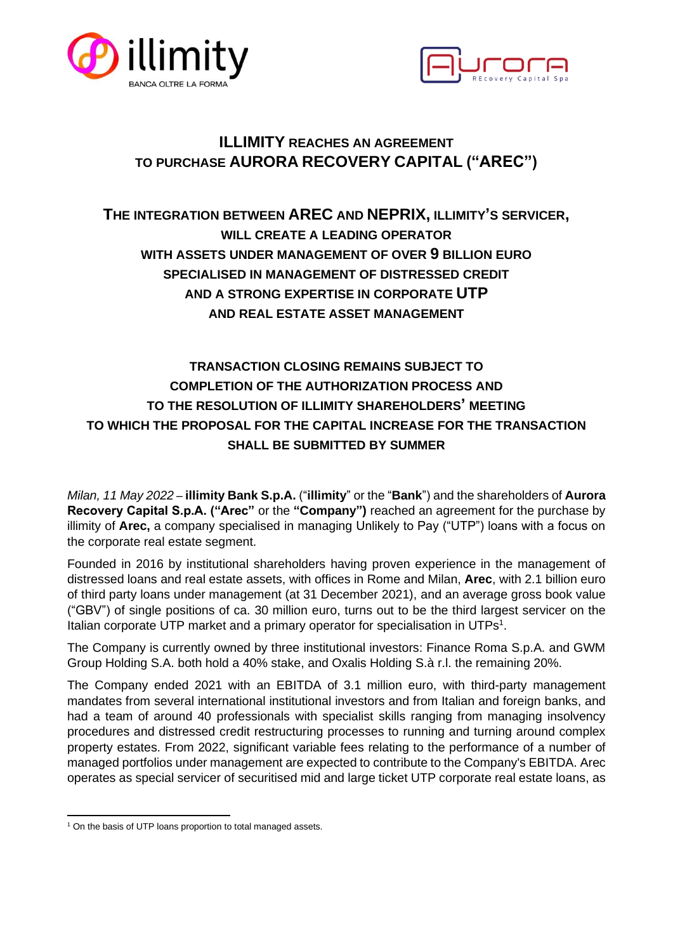



# **ILLIMITY REACHES AN AGREEMENT TO PURCHASE AURORA RECOVERY CAPITAL ("AREC")**

# **THE INTEGRATION BETWEEN AREC AND NEPRIX, ILLIMITY'S SERVICER, WILL CREATE A LEADING OPERATOR WITH ASSETS UNDER MANAGEMENT OF OVER 9 BILLION EURO SPECIALISED IN MANAGEMENT OF DISTRESSED CREDIT AND A STRONG EXPERTISE IN CORPORATE UTP AND REAL ESTATE ASSET MANAGEMENT**

## **TRANSACTION CLOSING REMAINS SUBJECT TO COMPLETION OF THE AUTHORIZATION PROCESS AND TO THE RESOLUTION OF ILLIMITY SHAREHOLDERS' MEETING TO WHICH THE PROPOSAL FOR THE CAPITAL INCREASE FOR THE TRANSACTION SHALL BE SUBMITTED BY SUMMER**

*Milan, 11 May 2022* – **illimity Bank S.p.A.** ("**illimity**" or the "**Bank**") and the shareholders of **Aurora Recovery Capital S.p.A. ("Arec"** or the **"Company")** reached an agreement for the purchase by illimity of **Arec,** a company specialised in managing Unlikely to Pay ("UTP") loans with a focus on the corporate real estate segment.

Founded in 2016 by institutional shareholders having proven experience in the management of distressed loans and real estate assets, with offices in Rome and Milan, **Arec**, with 2.1 billion euro of third party loans under management (at 31 December 2021), and an average gross book value ("GBV") of single positions of ca. 30 million euro, turns out to be the third largest servicer on the Italian corporate UTP market and a primary operator for specialisation in UTPs<sup>1</sup>.

The Company is currently owned by three institutional investors: Finance Roma S.p.A. and GWM Group Holding S.A. both hold a 40% stake, and Oxalis Holding S.à r.l. the remaining 20%.

The Company ended 2021 with an EBITDA of 3.1 million euro, with third-party management mandates from several international institutional investors and from Italian and foreign banks, and had a team of around 40 professionals with specialist skills ranging from managing insolvency procedures and distressed credit restructuring processes to running and turning around complex property estates. From 2022, significant variable fees relating to the performance of a number of managed portfolios under management are expected to contribute to the Company's EBITDA. Arec operates as special servicer of securitised mid and large ticket UTP corporate real estate loans, as

<sup>1</sup> On the basis of UTP loans proportion to total managed assets.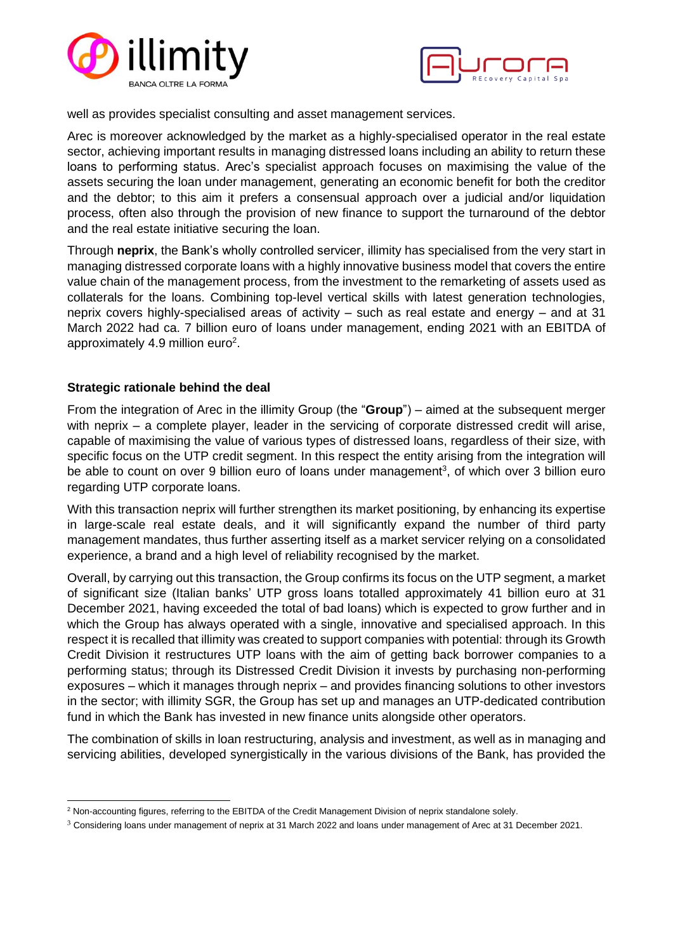



well as provides specialist consulting and asset management services.

Arec is moreover acknowledged by the market as a highly-specialised operator in the real estate sector, achieving important results in managing distressed loans including an ability to return these loans to performing status. Arec's specialist approach focuses on maximising the value of the assets securing the loan under management, generating an economic benefit for both the creditor and the debtor; to this aim it prefers a consensual approach over a judicial and/or liquidation process, often also through the provision of new finance to support the turnaround of the debtor and the real estate initiative securing the loan.

Through **neprix**, the Bank's wholly controlled servicer, illimity has specialised from the very start in managing distressed corporate loans with a highly innovative business model that covers the entire value chain of the management process, from the investment to the remarketing of assets used as collaterals for the loans. Combining top-level vertical skills with latest generation technologies, neprix covers highly-specialised areas of activity – such as real estate and energy – and at 31 March 2022 had ca. 7 billion euro of loans under management, ending 2021 with an EBITDA of approximately 4.9 million euro<sup>2</sup>.

#### **Strategic rationale behind the deal**

From the integration of Arec in the illimity Group (the "**Group**") – aimed at the subsequent merger with neprix – a complete player, leader in the servicing of corporate distressed credit will arise, capable of maximising the value of various types of distressed loans, regardless of their size, with specific focus on the UTP credit segment. In this respect the entity arising from the integration will be able to count on over 9 billion euro of loans under management<sup>3</sup>, of which over 3 billion euro regarding UTP corporate loans.

With this transaction neprix will further strengthen its market positioning, by enhancing its expertise in large-scale real estate deals, and it will significantly expand the number of third party management mandates, thus further asserting itself as a market servicer relying on a consolidated experience, a brand and a high level of reliability recognised by the market.

Overall, by carrying out this transaction, the Group confirms its focus on the UTP segment, a market of significant size (Italian banks' UTP gross loans totalled approximately 41 billion euro at 31 December 2021, having exceeded the total of bad loans) which is expected to grow further and in which the Group has always operated with a single, innovative and specialised approach. In this respect it is recalled that illimity was created to support companies with potential: through its Growth Credit Division it restructures UTP loans with the aim of getting back borrower companies to a performing status; through its Distressed Credit Division it invests by purchasing non-performing exposures – which it manages through neprix – and provides financing solutions to other investors in the sector; with illimity SGR, the Group has set up and manages an UTP-dedicated contribution fund in which the Bank has invested in new finance units alongside other operators.

The combination of skills in loan restructuring, analysis and investment, as well as in managing and servicing abilities, developed synergistically in the various divisions of the Bank, has provided the

<sup>&</sup>lt;sup>2</sup> Non-accounting figures, referring to the EBITDA of the Credit Management Division of neprix standalone solely.

<sup>&</sup>lt;sup>3</sup> Considering loans under management of neprix at 31 March 2022 and loans under management of Arec at 31 December 2021.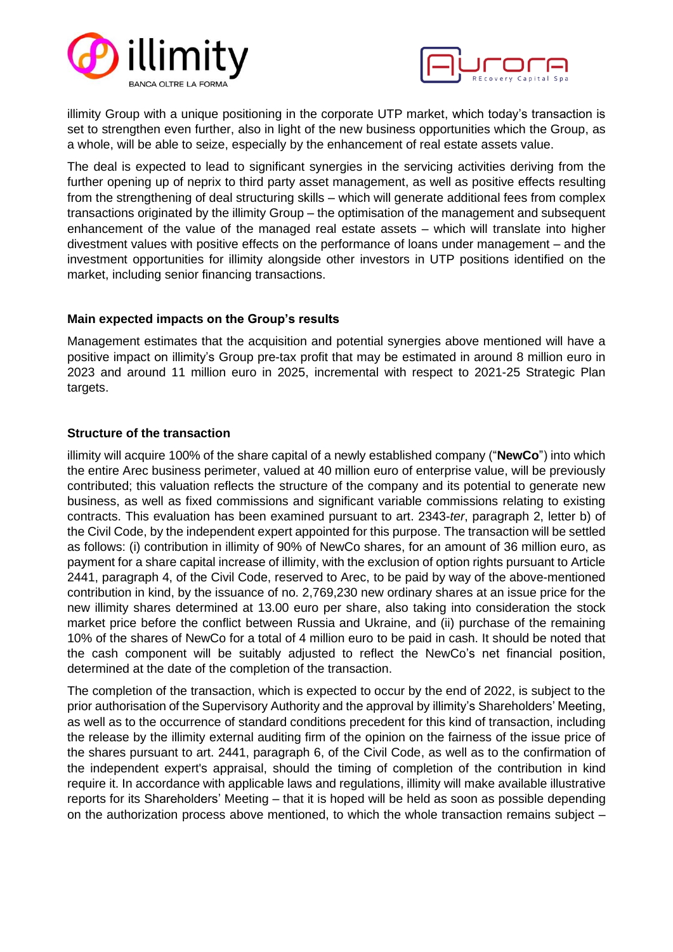



illimity Group with a unique positioning in the corporate UTP market, which today's transaction is set to strengthen even further, also in light of the new business opportunities which the Group, as a whole, will be able to seize, especially by the enhancement of real estate assets value.

The deal is expected to lead to significant synergies in the servicing activities deriving from the further opening up of neprix to third party asset management, as well as positive effects resulting from the strengthening of deal structuring skills – which will generate additional fees from complex transactions originated by the illimity Group – the optimisation of the management and subsequent enhancement of the value of the managed real estate assets – which will translate into higher divestment values with positive effects on the performance of loans under management – and the investment opportunities for illimity alongside other investors in UTP positions identified on the market, including senior financing transactions.

#### **Main expected impacts on the Group's results**

Management estimates that the acquisition and potential synergies above mentioned will have a positive impact on illimity's Group pre-tax profit that may be estimated in around 8 million euro in 2023 and around 11 million euro in 2025, incremental with respect to 2021-25 Strategic Plan targets.

#### **Structure of the transaction**

illimity will acquire 100% of the share capital of a newly established company ("**NewCo**") into which the entire Arec business perimeter, valued at 40 million euro of enterprise value, will be previously contributed; this valuation reflects the structure of the company and its potential to generate new business, as well as fixed commissions and significant variable commissions relating to existing contracts. This evaluation has been examined pursuant to art. 2343-*ter*, paragraph 2, letter b) of the Civil Code, by the independent expert appointed for this purpose. The transaction will be settled as follows: (i) contribution in illimity of 90% of NewCo shares, for an amount of 36 million euro, as payment for a share capital increase of illimity, with the exclusion of option rights pursuant to Article 2441, paragraph 4, of the Civil Code, reserved to Arec, to be paid by way of the above-mentioned contribution in kind, by the issuance of no. 2,769,230 new ordinary shares at an issue price for the new illimity shares determined at 13.00 euro per share, also taking into consideration the stock market price before the conflict between Russia and Ukraine, and (ii) purchase of the remaining 10% of the shares of NewCo for a total of 4 million euro to be paid in cash. It should be noted that the cash component will be suitably adjusted to reflect the NewCo's net financial position, determined at the date of the completion of the transaction.

The completion of the transaction, which is expected to occur by the end of 2022, is subject to the prior authorisation of the Supervisory Authority and the approval by illimity's Shareholders' Meeting, as well as to the occurrence of standard conditions precedent for this kind of transaction, including the release by the illimity external auditing firm of the opinion on the fairness of the issue price of the shares pursuant to art. 2441, paragraph 6, of the Civil Code, as well as to the confirmation of the independent expert's appraisal, should the timing of completion of the contribution in kind require it. In accordance with applicable laws and regulations, illimity will make available illustrative reports for its Shareholders' Meeting – that it is hoped will be held as soon as possible depending on the authorization process above mentioned, to which the whole transaction remains subject –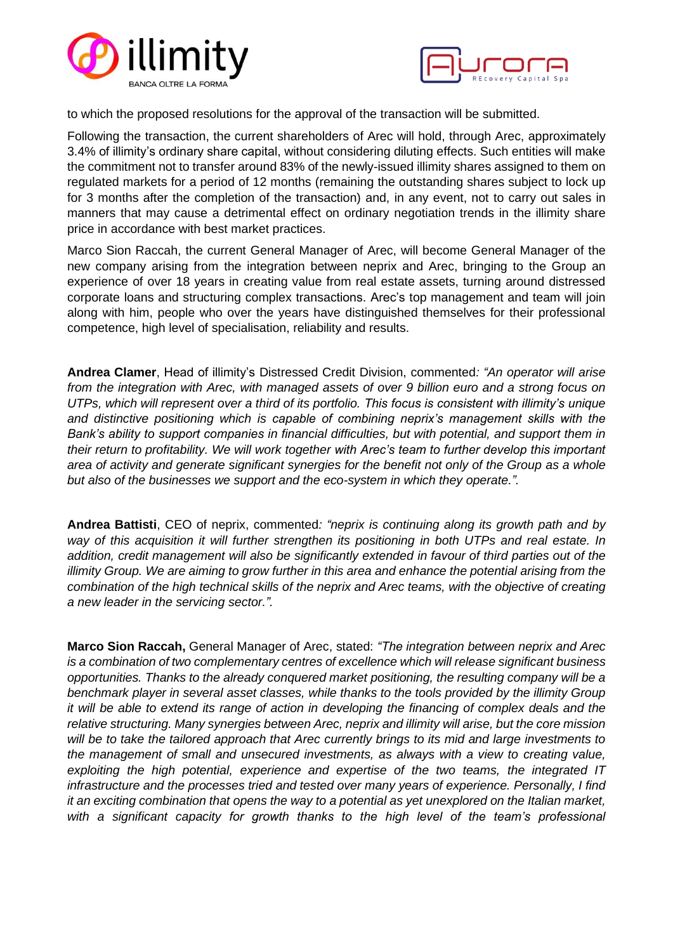



to which the proposed resolutions for the approval of the transaction will be submitted.

Following the transaction, the current shareholders of Arec will hold, through Arec, approximately 3.4% of illimity's ordinary share capital, without considering diluting effects. Such entities will make the commitment not to transfer around 83% of the newly-issued illimity shares assigned to them on regulated markets for a period of 12 months (remaining the outstanding shares subject to lock up for 3 months after the completion of the transaction) and, in any event, not to carry out sales in manners that may cause a detrimental effect on ordinary negotiation trends in the illimity share price in accordance with best market practices.

Marco Sion Raccah, the current General Manager of Arec, will become General Manager of the new company arising from the integration between neprix and Arec, bringing to the Group an experience of over 18 years in creating value from real estate assets, turning around distressed corporate loans and structuring complex transactions. Arec's top management and team will join along with him, people who over the years have distinguished themselves for their professional competence, high level of specialisation, reliability and results.

**Andrea Clamer**, Head of illimity's Distressed Credit Division, commented*: "An operator will arise from the integration with Arec, with managed assets of over 9 billion euro and a strong focus on UTPs, which will represent over a third of its portfolio. This focus is consistent with illimity's unique and distinctive positioning which is capable of combining neprix's management skills with the Bank's ability to support companies in financial difficulties, but with potential, and support them in their return to profitability. We will work together with Arec's team to further develop this important area of activity and generate significant synergies for the benefit not only of the Group as a whole but also of the businesses we support and the eco-system in which they operate.".*

**Andrea Battisti**, CEO of neprix, commented*: "neprix is continuing along its growth path and by way of this acquisition it will further strengthen its positioning in both UTPs and real estate. In addition, credit management will also be significantly extended in favour of third parties out of the illimity Group. We are aiming to grow further in this area and enhance the potential arising from the combination of the high technical skills of the neprix and Arec teams, with the objective of creating a new leader in the servicing sector.".*

**Marco Sion Raccah,** General Manager of Arec, stated: *"The integration between neprix and Arec is a combination of two complementary centres of excellence which will release significant business opportunities. Thanks to the already conquered market positioning, the resulting company will be a benchmark player in several asset classes, while thanks to the tools provided by the illimity Group it will be able to extend its range of action in developing the financing of complex deals and the relative structuring. Many synergies between Arec, neprix and illimity will arise, but the core mission will be to take the tailored approach that Arec currently brings to its mid and large investments to the management of small and unsecured investments, as always with a view to creating value, exploiting the high potential, experience and expertise of the two teams, the integrated IT infrastructure and the processes tried and tested over many years of experience. Personally, I find it an exciting combination that opens the way to a potential as yet unexplored on the Italian market, with a significant capacity for growth thanks to the high level of the team's professional*